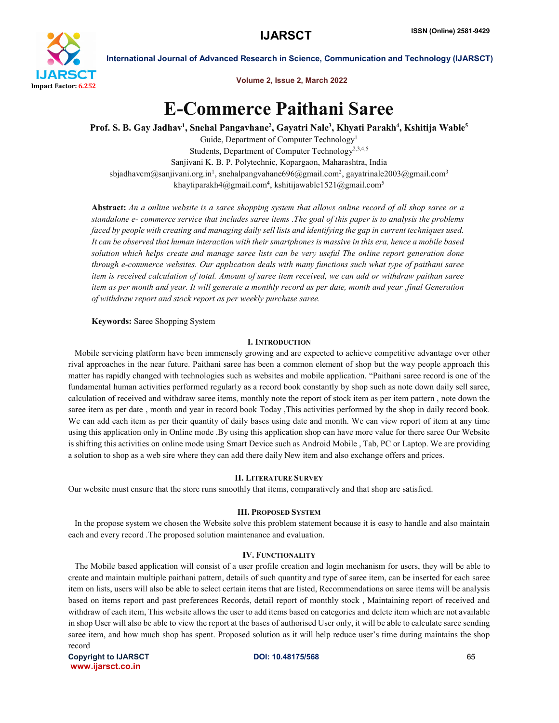

International Journal of Advanced Research in Science, Communication and Technology (IJARSCT)

Volume 2, Issue 2, March 2022

# E-Commerce Paithani Saree

Prof. S. B. Gay Jadhav<sup>1</sup>, Snehal Pangavhane<sup>2</sup>, Gayatri Nale<sup>3</sup>, Khyati Parakh<sup>4</sup>, Kshitija Wable<sup>5</sup>

Guide, Department of Computer Technology1 Students, Department of Computer Technology<sup>2,3,4,5</sup> Sanjivani K. B. P. Polytechnic, Kopargaon, Maharashtra, India sbjadhavcm@sanjivani.org.in<sup>1</sup>, snehalpangvahane696@gmail.com<sup>2</sup>, gayatrinale2003@gmail.com<sup>3</sup> khaytiparakh4@gmail.com<sup>4</sup>, kshitijawable1521@gmail.com<sup>5</sup>

Abstract: *An a online website is a saree shopping system that allows online record of all shop saree or a standalone e- commerce service that includes saree items .The goal of this paper is to analysis the problems faced by people with creating and managing daily sell lists and identifying the gap in current techniques used. It can be observed that human interaction with their smartphones is massive in this era, hence a mobile based solution which helps create and manage saree lists can be very useful The online report generation done through e-commerce websites. Our application deals with many functions such what type of paithani saree item is received calculation of total. Amount of saree item received, we can add or withdraw paithan saree item as per month and year. It will generate a monthly record as per date, month and year ,final Generation of withdraw report and stock report as per weekly purchase saree.*

Keywords: Saree Shopping System

# I. INTRODUCTION

 Mobile servicing platform have been immensely growing and are expected to achieve competitive advantage over other rival approaches in the near future. Paithani saree has been a common element of shop but the way people approach this matter has rapidly changed with technologies such as websites and mobile application. "Paithani saree record is one of the fundamental human activities performed regularly as a record book constantly by shop such as note down daily sell saree, calculation of received and withdraw saree items, monthly note the report of stock item as per item pattern , note down the saree item as per date , month and year in record book Today ,This activities performed by the shop in daily record book. We can add each item as per their quantity of daily bases using date and month. We can view report of item at any time using this application only in Online mode .By using this application shop can have more value for there saree Our Website is shifting this activities on online mode using Smart Device such as Android Mobile , Tab, PC or Laptop. We are providing a solution to shop as a web sire where they can add there daily New item and also exchange offers and prices.

## II. LITERATURE SURVEY

Our website must ensure that the store runs smoothly that items, comparatively and that shop are satisfied.

# III. PROPOSED SYSTEM

 In the propose system we chosen the Website solve this problem statement because it is easy to handle and also maintain each and every record .The proposed solution maintenance and evaluation.

## IV. FUNCTIONALITY

 The Mobile based application will consist of a user profile creation and login mechanism for users, they will be able to create and maintain multiple paithani pattern, details of such quantity and type of saree item, can be inserted for each saree item on lists, users will also be able to select certain items that are listed, Recommendations on saree items will be analysis based on items report and past preferences Records, detail report of monthly stock , Maintaining report of received and withdraw of each item, This website allows the user to add items based on categories and delete item which are not available in shop User will also be able to view the report at the bases of authorised User only, it will be able to calculate saree sending saree item, and how much shop has spent. Proposed solution as it will help reduce user's time during maintains the shop record

Copyright to IJARSCT **DOI: 10.48175/568 Copyright to IJARSCT** 65 www.ijarsct.co.in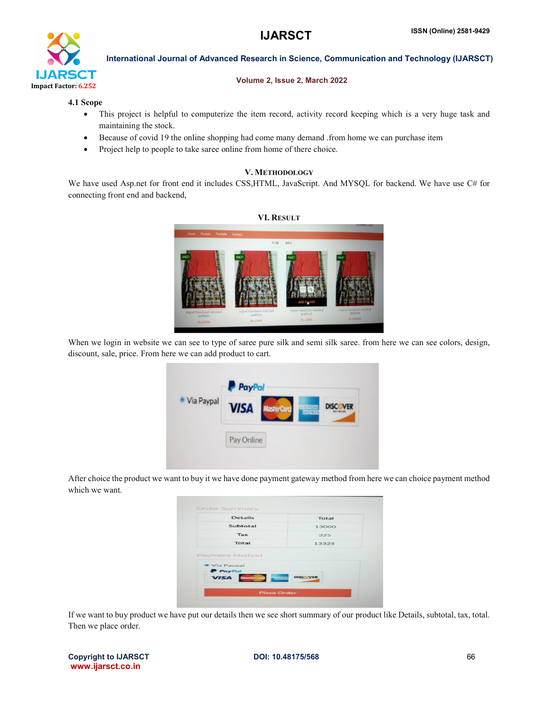

International Journal of Advanced Research in Science, Communication and Technology (IJARSCT)

## Volume 2, Issue 2, March 2022

## 4.1 Scope

- This project is helpful to computerize the item record, activity record keeping which is a very huge task and maintaining the stock.
- Because of covid 19 the online shopping had come many demand .from home we can purchase item
- Project help to people to take saree online from home of there choice.

## V. METHODOLOGY

We have used Asp.net for front end it includes CSS, HTML, JavaScript. And MYSQL for backend. We have use C# for connecting front end and backend,



When we login in website we can see to type of saree pure silk and semi silk saree. from here we can see colors, design, discount, sale, price. From here we can add product to cart.



After choice the product we want to buy it we have done payment gateway method from here we can choice payment method which we want.

|                              | Total |
|------------------------------|-------|
| Subtotal                     | 13000 |
| Tax                          | 325   |
| Total                        | 13325 |
| Payment Method<br>Via Pavpal |       |

If we want to buy product we have put our details then we see short summary of our product like Details, subtotal, tax, total. Then we place order.

|                   | <b>Copyright to IJARSCT</b> |
|-------------------|-----------------------------|
| www.ijarsct.co.in |                             |